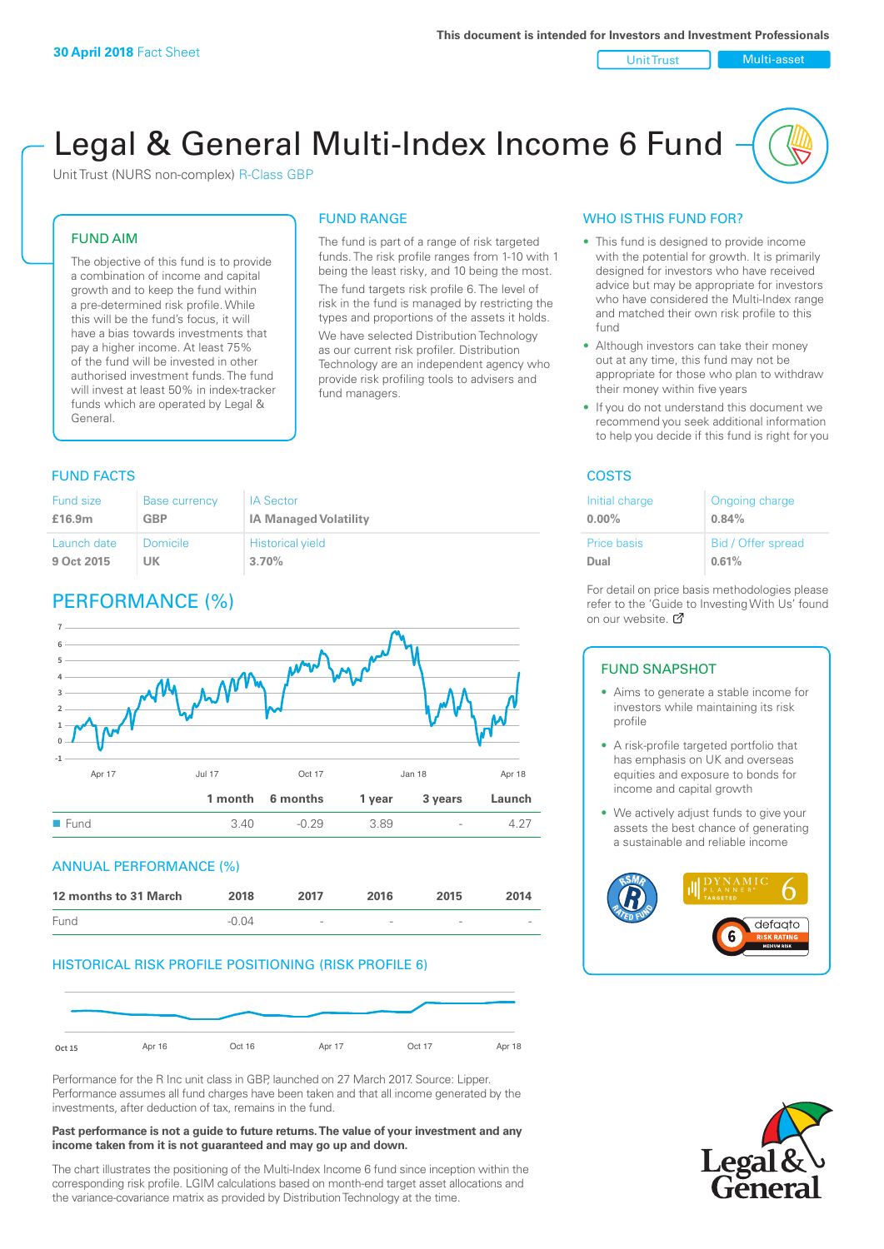Unit Trust Nulti-asset

# Legal & General Multi-Index Income 6 Fund

Unit Trust (NURS non-complex) R-Class GBP

#### FUND AIM

The objective of this fund is to provide a combination of income and capital growth and to keep the fund within a pre-determined risk profile. While this will be the fund's focus, it will have a bias towards investments that pay a higher income. At least 75% of the fund will be invested in other authorised investment funds. The fund will invest at least 50% in index-tracker funds which are operated by Legal & General.

## FUND RANGE

The fund is part of a range of risk targeted funds. The risk profile ranges from 1-10 with 1 being the least risky, and 10 being the most. The fund targets risk profile 6. The level of risk in the fund is managed by restricting the

types and proportions of the assets it holds. We have selected Distribution Technology as our current risk profiler. Distribution Technology are an independent agency who provide risk profiling tools to advisers and fund managers.

#### **FUND FACTS** COSTS

| Fund size   | <b>Base currency</b> | <b>IA Sector</b>             |
|-------------|----------------------|------------------------------|
| £16.9m      | GBP                  | <b>IA Managed Volatility</b> |
| Launch date | Domicile             | <b>Historical yield</b>      |
| 9 Oct 2015  | UK                   | 3.70%                        |

### PERFORMANCE (%)



#### ANNUAL PERFORMANCE (%)



#### HISTORICAL RISK PROFILE POSITIONING (RISK PROFILE 6)



Performance for the R Inc unit class in GBP, launched on 27 March 2017. Source: Lipper. Performance assumes all fund charges have been taken and that all income generated by the investments, after deduction of tax, remains in the fund.

#### **Past performance is not a guide to future returns. The value of your investment and any income taken from it is not guaranteed and may go up and down.**

The chart illustrates the positioning of the Multi-Index Income 6 fund since inception within the corresponding risk profile. LGIM calculations based on month-end target asset allocations and the variance-covariance matrix as provided by Distribution Technology at the time.

#### WHO IS THIS FUND FOR?

- This fund is designed to provide income with the potential for growth. It is primarily designed for investors who have received advice but may be appropriate for investors who have considered the Multi-Index range and matched their own risk profile to this fund
- Although investors can take their money out at any time, this fund may not be appropriate for those who plan to withdraw their money within five years
- If you do not understand this document we recommend you seek additional information to help you decide if this fund is right for you

| Initial charge     | Ongoing charge     |
|--------------------|--------------------|
| $0.00\%$           | 0.84%              |
| <b>Price basis</b> | Bid / Offer spread |
| Dual               | 0.61%              |

For detail on price basis methodologies please refer to the 'Gu[ide t](http://www.legalandgeneral.com/guide)o Investing With Us' found on our website. Ø

#### FUND SNAPSHOT

- Aims to generate a stable income for investors while maintaining its risk profile
- A risk-profile targeted portfolio that has emphasis on UK and overseas equities and exposure to bonds for income and capital growth
- We actively adjust funds to give your assets the best chance of generating a sustainable and reliable income



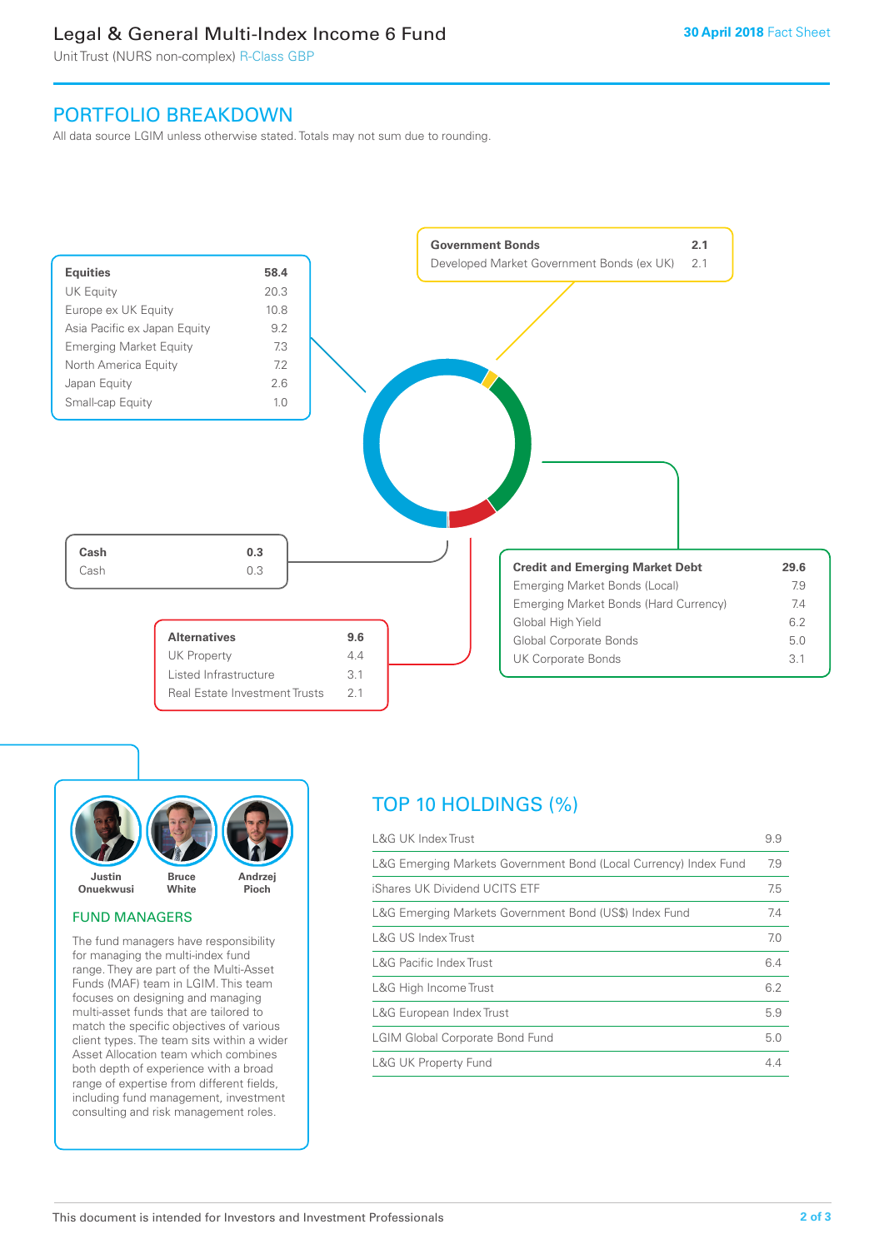### Legal & General Multi-Index Income 6 Fund

Unit Trust (NURS non-complex) R-Class GBP

### PORTFOLIO BREAKDOWN

All data source LGIM unless otherwise stated. Totals may not sum due to rounding.





#### FUND MANAGERS

The fund managers have responsibility for managing the multi-index fund range. They are part of the Multi-Asset Funds (MAF) team in LGIM. This team focuses on designing and managing multi-asset funds that are tailored to match the specific objectives of various client types. The team sits within a wider Asset Allocation team which combines both depth of experience with a broad range of expertise from different fields, including fund management, investment consulting and risk management roles.

### TOP 10 HOLDINGS (%)

| <b>L&amp;G UK Index Trust</b>                                    | 9.9 |
|------------------------------------------------------------------|-----|
| L&G Emerging Markets Government Bond (Local Currency) Index Fund | 7.9 |
| iShares UK Dividend UCITS ETF                                    | 7.5 |
| L&G Emerging Markets Government Bond (US\$) Index Fund           | 7.4 |
| L&G US Index Trust                                               | 7.0 |
| L&G Pacific Index Trust                                          | 6.4 |
| L&G High Income Trust                                            | 6.2 |
| L&G European Index Trust                                         | 5.9 |
| <b>LGIM Global Corporate Bond Fund</b>                           | 5.0 |
| <b>L&amp;G UK Property Fund</b>                                  | 4.4 |